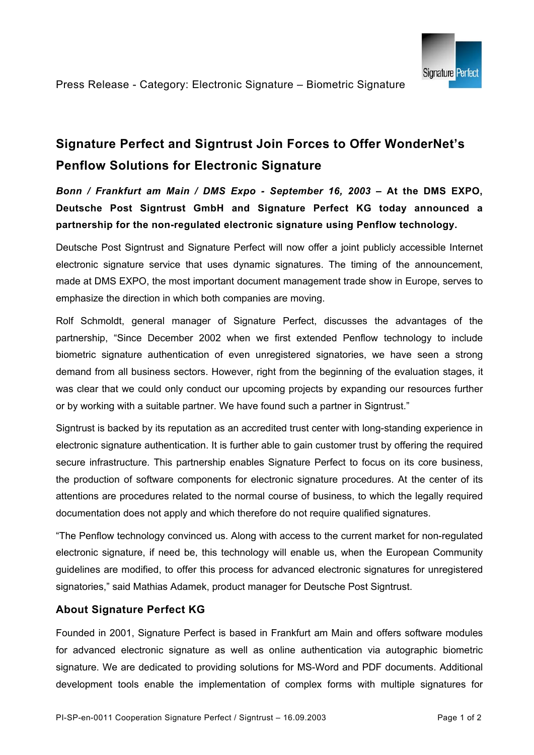

# **Signature Perfect and Signtrust Join Forces to Offer WonderNet's Penflow Solutions for Electronic Signature**

*Bonn / Frankfurt am Main / DMS Expo - September 16, 2003 –* **At the DMS EXPO, Deutsche Post Signtrust GmbH and Signature Perfect KG today announced a partnership for the non-regulated electronic signature using Penflow technology.** 

Deutsche Post Signtrust and Signature Perfect will now offer a joint publicly accessible Internet electronic signature service that uses dynamic signatures. The timing of the announcement, made at DMS EXPO, the most important document management trade show in Europe, serves to emphasize the direction in which both companies are moving.

Rolf Schmoldt, general manager of Signature Perfect, discusses the advantages of the partnership, "Since December 2002 when we first extended Penflow technology to include biometric signature authentication of even unregistered signatories, we have seen a strong demand from all business sectors. However, right from the beginning of the evaluation stages, it was clear that we could only conduct our upcoming projects by expanding our resources further or by working with a suitable partner. We have found such a partner in Signtrust."

Signtrust is backed by its reputation as an accredited trust center with long-standing experience in electronic signature authentication. It is further able to gain customer trust by offering the required secure infrastructure. This partnership enables Signature Perfect to focus on its core business, the production of software components for electronic signature procedures. At the center of its attentions are procedures related to the normal course of business, to which the legally required documentation does not apply and which therefore do not require qualified signatures.

"The Penflow technology convinced us. Along with access to the current market for non-regulated electronic signature, if need be, this technology will enable us, when the European Community guidelines are modified, to offer this process for advanced electronic signatures for unregistered signatories," said Mathias Adamek, product manager for Deutsche Post Signtrust.

## **About Signature Perfect KG**

Founded in 2001, Signature Perfect is based in Frankfurt am Main and offers software modules for advanced electronic signature as well as online authentication via autographic biometric signature. We are dedicated to providing solutions for MS-Word and PDF documents. Additional development tools enable the implementation of complex forms with multiple signatures for